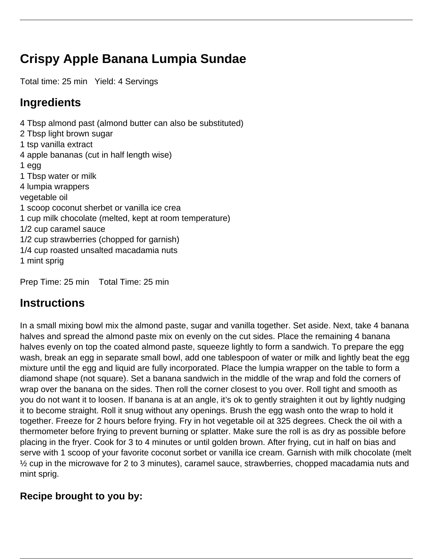## **Crispy Apple Banana Lumpia Sundae**

Total time: 25 min Yield: 4 Servings

## **Ingredients**

4 Tbsp almond past (almond butter can also be substituted) 2 Tbsp light brown sugar 1 tsp vanilla extract 4 apple bananas (cut in half length wise) 1 egg 1 Tbsp water or milk 4 lumpia wrappers vegetable oil 1 scoop coconut sherbet or vanilla ice crea 1 cup milk chocolate (melted, kept at room temperature) 1/2 cup caramel sauce 1/2 cup strawberries (chopped for garnish) 1/4 cup roasted unsalted macadamia nuts 1 mint sprig

Prep Time: 25 min Total Time: 25 min

## **Instructions**

In a small mixing bowl mix the almond paste, sugar and vanilla together. Set aside. Next, take 4 banana halves and spread the almond paste mix on evenly on the cut sides. Place the remaining 4 banana halves evenly on top the coated almond paste, squeeze lightly to form a sandwich. To prepare the egg wash, break an egg in separate small bowl, add one tablespoon of water or milk and lightly beat the egg mixture until the egg and liquid are fully incorporated. Place the lumpia wrapper on the table to form a diamond shape (not square). Set a banana sandwich in the middle of the wrap and fold the corners of wrap over the banana on the sides. Then roll the corner closest to you over. Roll tight and smooth as you do not want it to loosen. If banana is at an angle, it's ok to gently straighten it out by lightly nudging it to become straight. Roll it snug without any openings. Brush the egg wash onto the wrap to hold it together. Freeze for 2 hours before frying. Fry in hot vegetable oil at 325 degrees. Check the oil with a thermometer before frying to prevent burning or splatter. Make sure the roll is as dry as possible before placing in the fryer. Cook for 3 to 4 minutes or until golden brown. After frying, cut in half on bias and serve with 1 scoop of your favorite coconut sorbet or vanilla ice cream. Garnish with milk chocolate (melt ½ cup in the microwave for 2 to 3 minutes), caramel sauce, strawberries, chopped macadamia nuts and mint sprig.

## **Recipe brought to you by:**